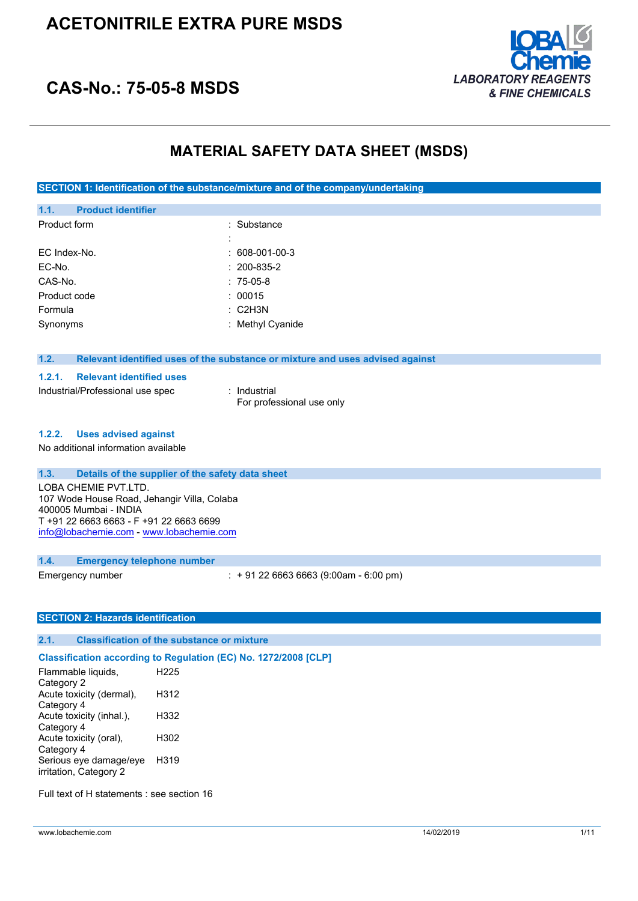

# **CAS-No.: 75-05-8 MSDS**

## **MATERIAL SAFETY DATA SHEET (MSDS)**

**SECTION 1: Identification of the substance/mixture and of the company/undertaking**

| 1.1.         | <b>Product identifier</b> |                    |
|--------------|---------------------------|--------------------|
| Product form |                           | : Substance        |
|              |                           | :                  |
|              | EC Index-No.              | $: 608-001-00-3$   |
| EC-No.       |                           | $: 200 - 835 - 2$  |
| CAS-No.      |                           | $: 75-05-8$        |
|              | Product code              | : 00015            |
| Formula      |                           | $\therefore$ C2H3N |
| Synonyms     |                           | : Methyl Cyanide   |
|              |                           |                    |

### **1.2. Relevant identified uses of the substance or mixture and uses advised against**

#### **1.2.1. Relevant identified uses**

Industrial/Professional use spec : Industrial

For professional use only

#### **1.2.2. Uses advised against**

No additional information available

### **1.3. Details of the supplier of the safety data sheet**

LOBA CHEMIE PVT.LTD. 107 Wode House Road, Jehangir Villa, Colaba 400005 Mumbai - INDIA T +91 22 6663 6663 - F +91 22 6663 6699 [info@lobachemie.com](mailto:info@lobachemie.com) - <www.lobachemie.com>

#### **1.4. Emergency telephone number**

Emergency number : + 91 22 6663 6663 (9:00am - 6:00 pm)

### **SECTION 2: Hazards identification**

#### **2.1. Classification of the substance or mixture**

### **Classification according to Regulation (EC) No. 1272/2008 [CLP]**

Flammable liquids, Category 2 H225 Acute toxicity (dermal), Category 4 H312 Acute toxicity (inhal.), Category 4 H332 Acute toxicity (oral), Category 4 H302 Serious eye damage/eye irritation, Category 2 H319

Full text of H statements : see section 16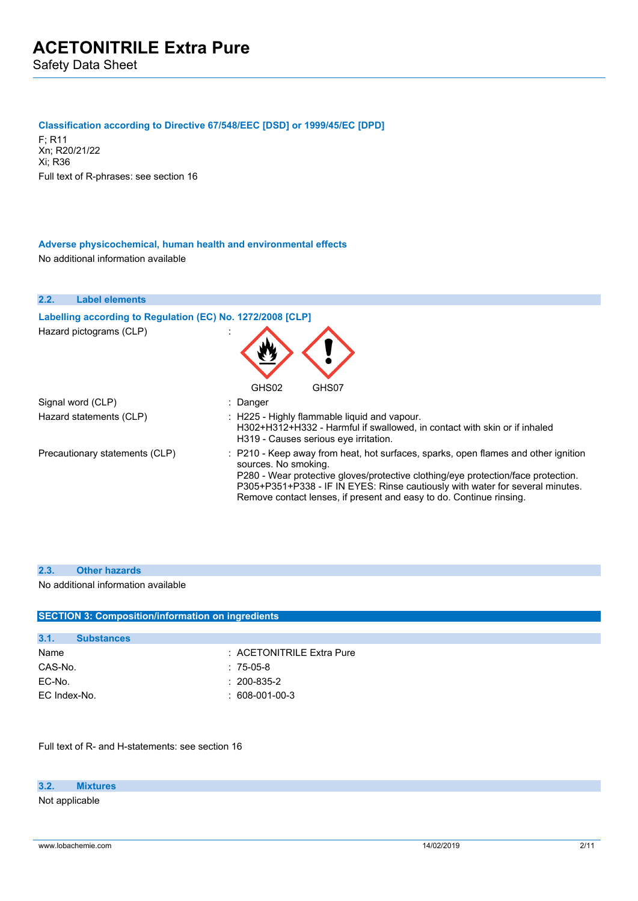#### **Classification according to Directive 67/548/EEC [DSD] or 1999/45/EC [DPD]**

F; R11 Xn; R20/21/22 Xi; R36 Full text of R-phrases: see section 16

**Adverse physicochemical, human health and environmental effects** No additional information available



#### **2.3. Other hazards**

#### No additional information available

| <b>SECTION 3: Composition/information on ingredients</b> |                           |  |  |
|----------------------------------------------------------|---------------------------|--|--|
|                                                          |                           |  |  |
| 3.1.<br><b>Substances</b>                                |                           |  |  |
| Name                                                     | : ACETONITRILE Extra Pure |  |  |
| CAS-No.                                                  | $: 75-05-8$               |  |  |
| EC-No.                                                   | $: 200 - 835 - 2$         |  |  |
| EC Index-No.                                             | $: 608-001-00-3$          |  |  |
|                                                          |                           |  |  |

Full text of R- and H-statements: see section 16

#### **3.2. Mixtures**

Not applicable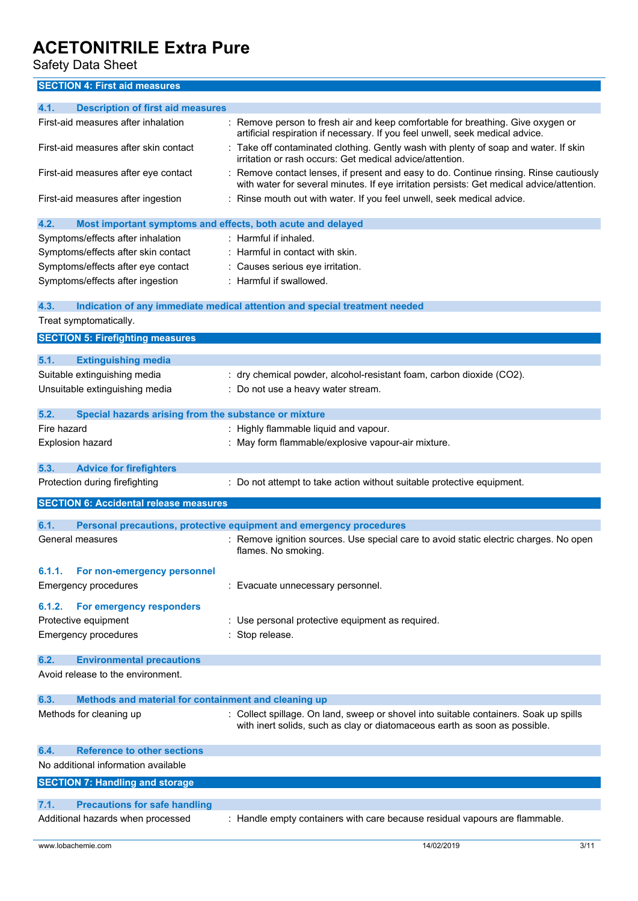Safety Data Sheet

## **SECTION 4: First aid measures**

| 4.1.             | <b>Description of first aid measures</b>                    |                                                                                                                                                                                   |
|------------------|-------------------------------------------------------------|-----------------------------------------------------------------------------------------------------------------------------------------------------------------------------------|
|                  | First-aid measures after inhalation                         | Remove person to fresh air and keep comfortable for breathing. Give oxygen or<br>artificial respiration if necessary. If you feel unwell, seek medical advice.                    |
|                  | First-aid measures after skin contact                       | : Take off contaminated clothing. Gently wash with plenty of soap and water. If skin<br>irritation or rash occurs: Get medical advice/attention.                                  |
|                  | First-aid measures after eye contact                        | Remove contact lenses, if present and easy to do. Continue rinsing. Rinse cautiously<br>with water for several minutes. If eye irritation persists: Get medical advice/attention. |
|                  | First-aid measures after ingestion                          | : Rinse mouth out with water. If you feel unwell, seek medical advice.                                                                                                            |
| 4.2.             | Most important symptoms and effects, both acute and delayed |                                                                                                                                                                                   |
|                  | Symptoms/effects after inhalation                           | : Harmful if inhaled.                                                                                                                                                             |
|                  | Symptoms/effects after skin contact                         | : Harmful in contact with skin.                                                                                                                                                   |
|                  | Symptoms/effects after eye contact                          | Causes serious eye irritation.                                                                                                                                                    |
|                  | Symptoms/effects after ingestion                            | : Harmful if swallowed.                                                                                                                                                           |
| 4.3.             |                                                             | Indication of any immediate medical attention and special treatment needed                                                                                                        |
|                  | Treat symptomatically.                                      |                                                                                                                                                                                   |
|                  | <b>SECTION 5: Firefighting measures</b>                     |                                                                                                                                                                                   |
| 5.1.             | <b>Extinguishing media</b>                                  |                                                                                                                                                                                   |
|                  | Suitable extinguishing media                                |                                                                                                                                                                                   |
|                  | Unsuitable extinguishing media                              | : dry chemical powder, alcohol-resistant foam, carbon dioxide (CO2).                                                                                                              |
|                  |                                                             | : Do not use a heavy water stream.                                                                                                                                                |
| 5.2.             | Special hazards arising from the substance or mixture       |                                                                                                                                                                                   |
| Fire hazard      |                                                             | : Highly flammable liquid and vapour.                                                                                                                                             |
| Explosion hazard |                                                             | : May form flammable/explosive vapour-air mixture.                                                                                                                                |
| 5.3.             | <b>Advice for firefighters</b>                              |                                                                                                                                                                                   |
|                  | Protection during firefighting                              | Do not attempt to take action without suitable protective equipment.                                                                                                              |
|                  | <b>SECTION 6: Accidental release measures</b>               |                                                                                                                                                                                   |
| 6.1.             |                                                             | Personal precautions, protective equipment and emergency procedures                                                                                                               |
|                  | General measures                                            | Remove ignition sources. Use special care to avoid static electric charges. No open<br>flames. No smoking.                                                                        |
| 6.1.1.           | For non-emergency personnel                                 |                                                                                                                                                                                   |
|                  | <b>Emergency procedures</b>                                 | Evacuate unnecessary personnel.                                                                                                                                                   |
|                  |                                                             |                                                                                                                                                                                   |
| 6.1.2.           | <b>For emergency responders</b>                             |                                                                                                                                                                                   |
|                  | Protective equipment                                        | : Use personal protective equipment as required.                                                                                                                                  |
|                  | <b>Emergency procedures</b>                                 | : Stop release.                                                                                                                                                                   |
| 6.2.             | <b>Environmental precautions</b>                            |                                                                                                                                                                                   |
|                  | Avoid release to the environment.                           |                                                                                                                                                                                   |
| 6.3.             | Methods and material for containment and cleaning up        |                                                                                                                                                                                   |
|                  | Methods for cleaning up                                     | : Collect spillage. On land, sweep or shovel into suitable containers. Soak up spills                                                                                             |
|                  |                                                             | with inert solids, such as clay or diatomaceous earth as soon as possible.                                                                                                        |
| 6.4.             | <b>Reference to other sections</b>                          |                                                                                                                                                                                   |
|                  | No additional information available                         |                                                                                                                                                                                   |
|                  | <b>SECTION 7: Handling and storage</b>                      |                                                                                                                                                                                   |
|                  |                                                             |                                                                                                                                                                                   |
| 7.1.             | <b>Precautions for safe handling</b>                        |                                                                                                                                                                                   |
|                  | Additional hazards when processed                           | : Handle empty containers with care because residual vapours are flammable.                                                                                                       |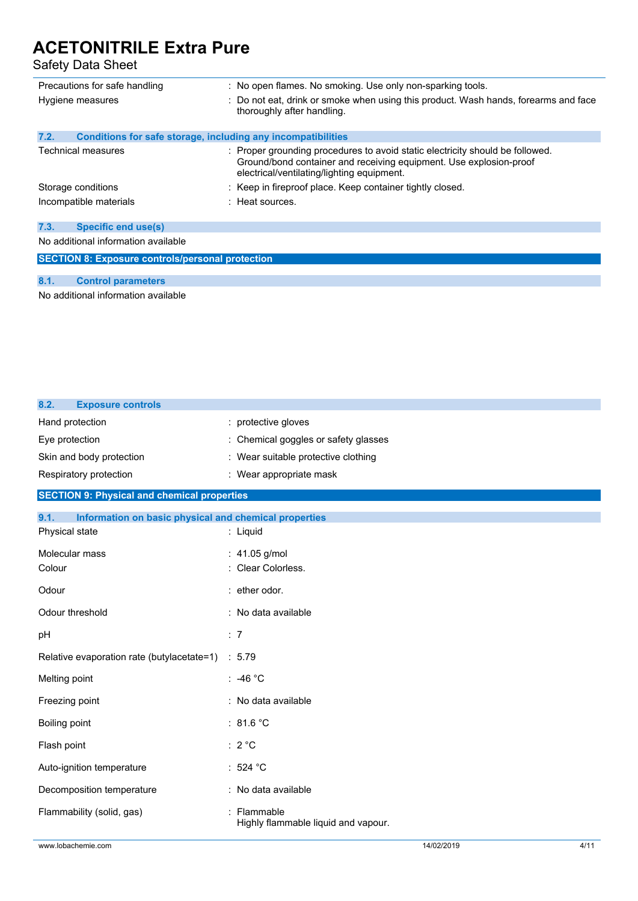Safety Data Sheet

| Precautions for safe handling<br>Hygiene measures                    | : No open flames. No smoking. Use only non-sparking tools.<br>: Do not eat, drink or smoke when using this product. Wash hands, forearms and face<br>thoroughly after handling.                   |  |
|----------------------------------------------------------------------|---------------------------------------------------------------------------------------------------------------------------------------------------------------------------------------------------|--|
| 7.2.<br>Conditions for safe storage, including any incompatibilities |                                                                                                                                                                                                   |  |
| Technical measures                                                   | : Proper grounding procedures to avoid static electricity should be followed.<br>Ground/bond container and receiving equipment. Use explosion-proof<br>electrical/ventilating/lighting equipment. |  |
| Storage conditions                                                   | : Keep in fireproof place. Keep container tightly closed.                                                                                                                                         |  |
| Incompatible materials                                               | : Heat sources.                                                                                                                                                                                   |  |
| 7.3.<br><b>Specific end use(s)</b>                                   |                                                                                                                                                                                                   |  |
| No additional information available                                  |                                                                                                                                                                                                   |  |
| <b>SECTION 8: Exposure controls/personal protection</b>              |                                                                                                                                                                                                   |  |

### **8.1. Control parameters**

No additional information available

| 8.2.<br><b>Exposure controls</b>                              |                                                  |
|---------------------------------------------------------------|--------------------------------------------------|
| Hand protection                                               | : protective gloves                              |
| Eye protection                                                | Chemical goggles or safety glasses               |
| Skin and body protection                                      | : Wear suitable protective clothing              |
| Respiratory protection                                        | : Wear appropriate mask                          |
| <b>SECTION 9: Physical and chemical properties</b>            |                                                  |
| 9.1.<br>Information on basic physical and chemical properties |                                                  |
| Physical state                                                | : Liquid                                         |
| Molecular mass                                                | : 41.05 g/mol                                    |
| Colour                                                        | Clear Colorless.                                 |
| Odour                                                         | : ether odor.                                    |
| Odour threshold                                               | : No data available                              |
| pH                                                            | : 7                                              |
| Relative evaporation rate (butylacetate=1)                    | : 5.79                                           |
| Melting point                                                 | : -46 $^{\circ}$ C                               |
| Freezing point                                                | : No data available                              |
| Boiling point                                                 | : 81.6 $^{\circ}$ C                              |
| Flash point                                                   | $: 2^{\circ}C$                                   |
| Auto-ignition temperature                                     | :524 °C                                          |
| Decomposition temperature                                     | : No data available                              |
| Flammability (solid, gas)                                     | Flammable<br>Highly flammable liquid and vapour. |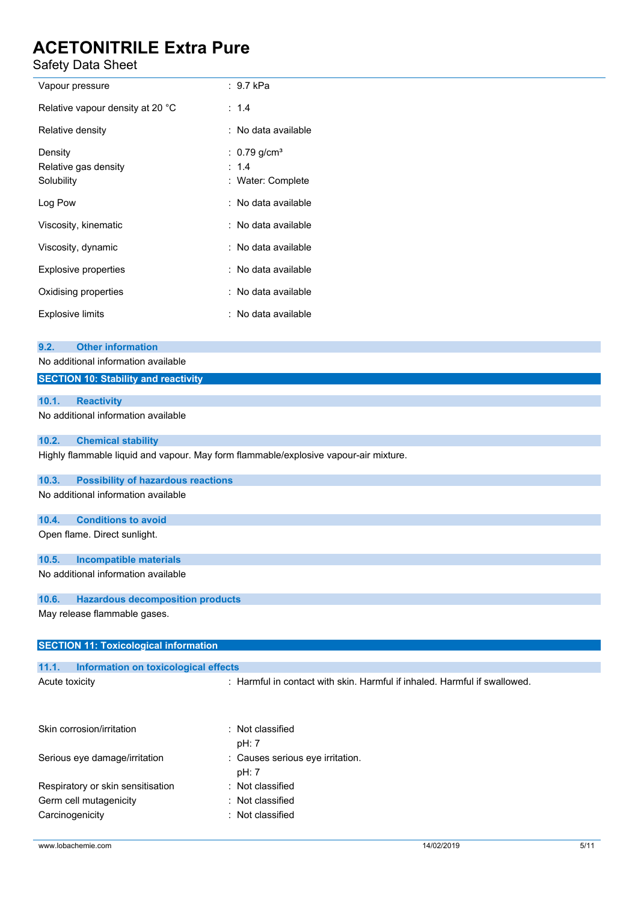Safety Data Sheet l.

| Safety Data Sheet                                                                         |                                                                                      |
|-------------------------------------------------------------------------------------------|--------------------------------------------------------------------------------------|
| Vapour pressure                                                                           | : 9.7 kPa                                                                            |
| Relative vapour density at 20 °C                                                          | : 1.4                                                                                |
| Relative density                                                                          | : No data available                                                                  |
| Density<br>Relative gas density<br>Solubility                                             | : $0.79$ g/cm <sup>3</sup><br>1.4<br>Water: Complete                                 |
| Log Pow                                                                                   | : No data available                                                                  |
| Viscosity, kinematic                                                                      | : No data available                                                                  |
| Viscosity, dynamic                                                                        | : No data available                                                                  |
| Explosive properties                                                                      | : No data available                                                                  |
| Oxidising properties                                                                      | : No data available                                                                  |
| <b>Explosive limits</b>                                                                   | : No data available                                                                  |
| <b>Other information</b><br>9.2.<br>No additional information available                   |                                                                                      |
| <b>SECTION 10: Stability and reactivity</b>                                               |                                                                                      |
| 10.1.<br><b>Reactivity</b><br>No additional information available                         |                                                                                      |
| 10.2.<br><b>Chemical stability</b>                                                        |                                                                                      |
|                                                                                           | Highly flammable liquid and vapour. May form flammable/explosive vapour-air mixture. |
| <b>Possibility of hazardous reactions</b><br>10.3.<br>No additional information available |                                                                                      |
| <b>Conditions to avoid</b><br>10.4.                                                       |                                                                                      |
| Open flame. Direct sunlight.                                                              |                                                                                      |
| 10.5.<br><b>Incompatible materials</b><br>No additional information available             |                                                                                      |
|                                                                                           |                                                                                      |
| 10.6.<br><b>Hazardous decomposition products</b><br>May release flammable gases.          |                                                                                      |
|                                                                                           |                                                                                      |
| <b>SECTION 11: Toxicological information</b>                                              |                                                                                      |
| Information on toxicological effects<br>11.1.                                             |                                                                                      |
| Acute toxicity                                                                            | : Harmful in contact with skin. Harmful if inhaled. Harmful if swallowed.            |
| Skin corrosion/irritation                                                                 | : Not classified<br>pH: 7                                                            |
| Serious eye damage/irritation                                                             | : Causes serious eye irritation.<br>pH: 7                                            |
| Respiratory or skin sensitisation                                                         | : Not classified                                                                     |

Germ cell mutagenicity **in the case of the Contract Contract Contract Contract Contract Contract Contract Contract Contract Contract Contract Contract Contract Contract Contract Contract Contract Contract Contract Contract** Carcinogenicity **Carcinogenicity 1989 Carcinogenicity Carcial Carcial Carcial Act 2016 Carcial Carcial Carcial Carcial Carcial Carcial Carcial Carcial Carcial Carcial Carcial Carcial Carcial Carcial Carcial Carcial**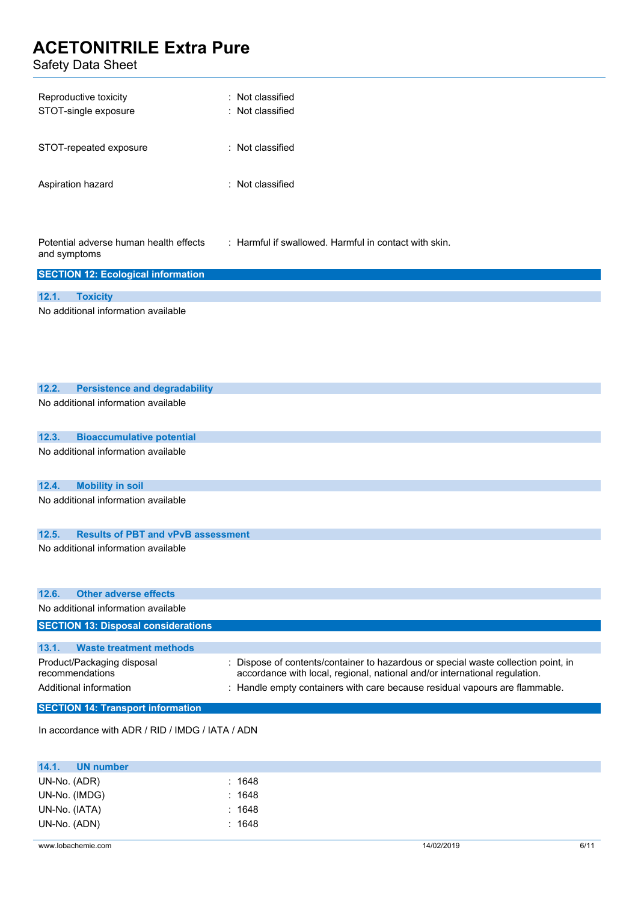Safety Data Sheet

| Reproductive toxicity<br>STOT-single exposure | : Not classified<br>: Not classified |
|-----------------------------------------------|--------------------------------------|
| STOT-repeated exposure                        | $\therefore$ Not classified          |
| Aspiration hazard                             | $\therefore$ Not classified          |

Potential adverse human health effects and symptoms : Harmful if swallowed. Harmful in contact with skin.

| <b>SECTION 12: Ecological information</b> |                                     |  |  |
|-------------------------------------------|-------------------------------------|--|--|
|                                           |                                     |  |  |
|                                           | 12.1. Toxicity                      |  |  |
|                                           | No additional information available |  |  |

| 12.2. | <b>Persistence and degradability</b>          |                                                                                                                                                                |
|-------|-----------------------------------------------|----------------------------------------------------------------------------------------------------------------------------------------------------------------|
|       | No additional information available           |                                                                                                                                                                |
| 12.3. | <b>Bioaccumulative potential</b>              |                                                                                                                                                                |
|       | No additional information available           |                                                                                                                                                                |
| 12.4. | <b>Mobility in soil</b>                       |                                                                                                                                                                |
|       | No additional information available           |                                                                                                                                                                |
| 12.5. | <b>Results of PBT and vPvB assessment</b>     |                                                                                                                                                                |
|       | No additional information available           |                                                                                                                                                                |
| 12.6. | Other adverse effects                         |                                                                                                                                                                |
|       | No additional information available           |                                                                                                                                                                |
|       | <b>SECTION 13: Disposal considerations</b>    |                                                                                                                                                                |
| 13.1. | <b>Waste treatment methods</b>                |                                                                                                                                                                |
|       | Product/Packaging disposal<br>recommendations | Dispose of contents/container to hazardous or special waste collection point, in<br>accordance with local, regional, national and/or international regulation. |
|       | Additional information                        | : Handle empty containers with care because residual vapours are flammable.                                                                                    |
|       | <b>SECTION 14: Transport information</b>      |                                                                                                                                                                |

In accordance with ADR / RID / IMDG / IATA / ADN

| 14.1.<br>UN number |        |  |
|--------------------|--------|--|
| UN-No. (ADR)       | : 1648 |  |
| UN-No. (IMDG)      | : 1648 |  |
| UN-No. (IATA)      | : 1648 |  |
| UN-No. (ADN)       | : 1648 |  |
|                    |        |  |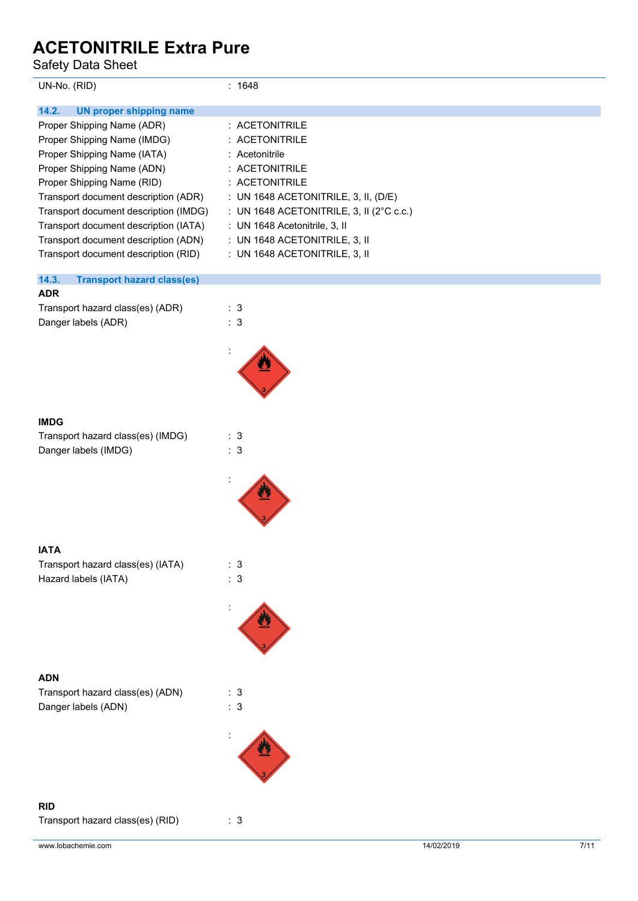Safety Data Sheet

| Dalely Dala Sileel                         |                                          |
|--------------------------------------------|------------------------------------------|
| UN-No. (RID)                               | : 1648                                   |
| 14.2.<br><b>UN proper shipping name</b>    |                                          |
| Proper Shipping Name (ADR)                 | : ACETONITRILE                           |
| Proper Shipping Name (IMDG)                | : ACETONITRILE                           |
| Proper Shipping Name (IATA)                | : Acetonitrile                           |
| Proper Shipping Name (ADN)                 | : ACETONITRILE                           |
| Proper Shipping Name (RID)                 | : ACETONITRILE                           |
| Transport document description (ADR)       | : UN 1648 ACETONITRILE, 3, II, (D/E)     |
| Transport document description (IMDG)      | : UN 1648 ACETONITRILE, 3, II (2°C c.c.) |
| Transport document description (IATA)      | : UN 1648 Acetonitrile, 3, II            |
| Transport document description (ADN)       | : UN 1648 ACETONITRILE, 3, II            |
| Transport document description (RID)       | : UN 1648 ACETONITRILE, 3, II            |
| 14.3.<br><b>Transport hazard class(es)</b> |                                          |
| <b>ADR</b>                                 |                                          |
| Transport hazard class(es) (ADR)           | : 3                                      |
| Danger labels (ADR)                        | : 3                                      |
|                                            |                                          |
|                                            |                                          |
| <b>IMDG</b>                                |                                          |
| Transport hazard class(es) (IMDG)          | : 3                                      |
| Danger labels (IMDG)                       | : 3                                      |
|                                            |                                          |
| <b>IATA</b>                                |                                          |
| Transport hazard class(es) (IATA)          | : 3                                      |
| Hazard labels (IATA)                       | : 3                                      |
|                                            |                                          |
|                                            |                                          |
| <b>ADN</b>                                 |                                          |
| Transport hazard class(es) (ADN)           | : 3                                      |
| Danger labels (ADN)                        | : 3                                      |
|                                            |                                          |
|                                            |                                          |
| <b>RID</b>                                 |                                          |
| Transport hazard class(es) (RID)           | : 3                                      |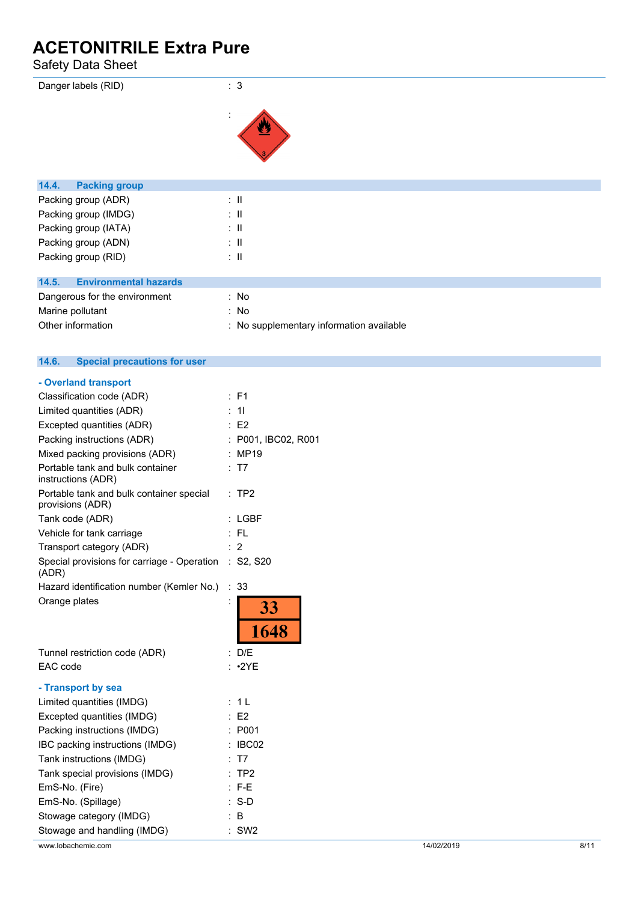### Safety Data Sheet

| .                                     |                                          |
|---------------------------------------|------------------------------------------|
| Danger labels (RID)                   | : 3                                      |
|                                       |                                          |
| 14.4.<br><b>Packing group</b>         |                                          |
| Packing group (ADR)                   | $\therefore$ $\parallel$                 |
| Packing group (IMDG)                  | $\therefore$ $\parallel$                 |
| Packing group (IATA)                  | $\therefore$ $\parallel$                 |
| Packing group (ADN)                   | $\therefore$ $\parallel$                 |
| Packing group (RID)                   | $\therefore$ $\parallel$                 |
|                                       |                                          |
| <b>Environmental hazards</b><br>14.5. |                                          |
| Dangerous for the environment         | : No                                     |
| Marine pollutant                      | : No                                     |
| Other information                     | : No supplementary information available |

|  | 14.6. |  | <b>Special precautions for user</b> |  |
|--|-------|--|-------------------------------------|--|
|--|-------|--|-------------------------------------|--|

| - Overland transport                                           |                         |
|----------------------------------------------------------------|-------------------------|
| Classification code (ADR)                                      | : F1                    |
| Limited quantities (ADR)                                       | 11                      |
| Excepted quantities (ADR)                                      | : E2                    |
| Packing instructions (ADR)                                     | : P001, IBC02, R001     |
| Mixed packing provisions (ADR)                                 | : MP19                  |
| Portable tank and bulk container<br>instructions (ADR)         | T7                      |
| Portable tank and bulk container special<br>provisions (ADR)   | : TP2                   |
| Tank code (ADR)                                                | $:$ LGBF                |
| Vehicle for tank carriage                                      | $:$ FL                  |
| Transport category (ADR)                                       | 2                       |
| Special provisions for carriage - Operation : S2, S20<br>(ADR) |                         |
| Hazard identification number (Kemler No.)                      | ÷<br>33                 |
| Orange plates                                                  | 33 <sup>°</sup><br>1648 |
| Tunnel restriction code (ADR)                                  | : D/E                   |
| EAC code                                                       | $: \cdot2YE$            |
| - Transport by sea                                             |                         |
| Limited quantities (IMDG)                                      | 1 <sup>L</sup>          |
| Excepted quantities (IMDG)                                     | E2                      |
| Packing instructions (IMDG)                                    | : P001                  |
| IBC packing instructions (IMDG)                                | IBC02                   |
| Tank instructions (IMDG)                                       | T7                      |
| Tank special provisions (IMDG)                                 | TP <sub>2</sub>         |
| EmS-No. (Fire)                                                 | $: F-E$                 |
| EmS-No. (Spillage)                                             | $S-D$                   |
| Stowage category (IMDG)                                        | B                       |
| Stowage and handling (IMDG)                                    | SW <sub>2</sub>         |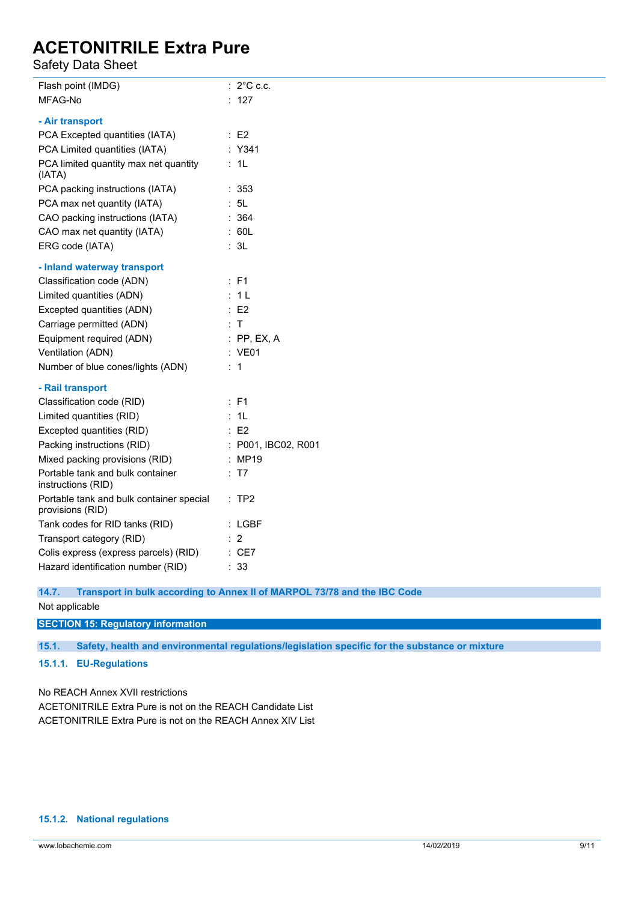### Safety Data Sheet

| Flash point (IMDG)                                           | $: 2^{\circ}$ C c.c.    |
|--------------------------------------------------------------|-------------------------|
| MFAG-No                                                      | : 127                   |
| - Air transport                                              |                         |
| PCA Excepted quantities (IATA)                               | $\therefore$ E2         |
| PCA Limited quantities (IATA)                                | : Y341                  |
| PCA limited quantity max net quantity<br>(IATA)              | : 1L                    |
| PCA packing instructions (IATA)                              | : 353                   |
| PCA max net quantity (IATA)                                  | : 5L                    |
| CAO packing instructions (IATA)                              | : 364                   |
| CAO max net quantity (IATA)                                  | $\therefore$ 60L        |
| ERG code (IATA)                                              | : 3L                    |
| - Inland waterway transport                                  |                         |
| Classification code (ADN)                                    | : F1                    |
| Limited quantities (ADN)                                     | : 1L                    |
| Excepted quantities (ADN)                                    | $\therefore$ E2         |
|                                                              | : T                     |
| Carriage permitted (ADN)                                     |                         |
| Equipment required (ADN)                                     | $:$ PP, EX, A<br>: VE01 |
| Ventilation (ADN)<br>Number of blue cones/lights (ADN)       | : 1                     |
|                                                              |                         |
| - Rail transport                                             |                         |
| Classification code (RID)                                    | : F1                    |
| Limited quantities (RID)                                     | : 1L                    |
| Excepted quantities (RID)                                    | $\therefore$ E2         |
| Packing instructions (RID)                                   | : P001, IBC02, R001     |
| Mixed packing provisions (RID)                               | : MP19                  |
| Portable tank and bulk container<br>instructions (RID)       | : T7                    |
| Portable tank and bulk container special<br>provisions (RID) | :TP2                    |
| Tank codes for RID tanks (RID)                               | : LGBF                  |
| Transport category (RID)                                     | $\therefore$ 2          |
| Colis express (express parcels) (RID)                        | : CE7                   |
| Hazard identification number (RID)                           | : 33                    |

**14.7. Transport in bulk according to Annex II of MARPOL 73/78 and the IBC Code** Not applicable

### **SECTION 15: Regulatory information**

**15.1. Safety, health and environmental regulations/legislation specific for the substance or mixture**

### **15.1.1. EU-Regulations**

No REACH Annex XVII restrictions

ACETONITRILE Extra Pure is not on the REACH Candidate List ACETONITRILE Extra Pure is not on the REACH Annex XIV List

### **15.1.2. National regulations**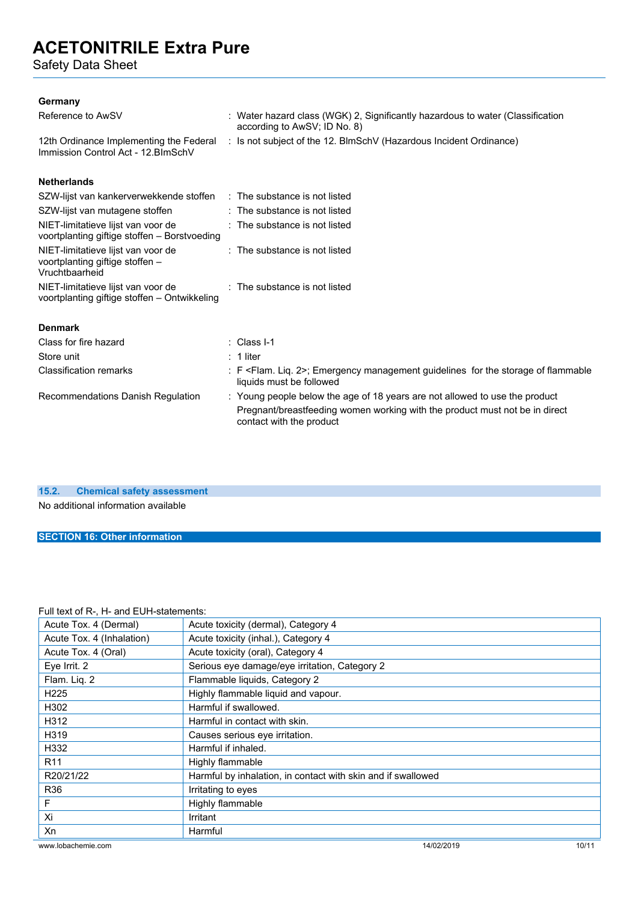Safety Data Sheet

### **Germany**

| Reference to AwSV                                                                       | : Water hazard class (WGK) 2, Significantly hazardous to water (Classification<br>according to AwSV; ID No. 8)                                                                         |
|-----------------------------------------------------------------------------------------|----------------------------------------------------------------------------------------------------------------------------------------------------------------------------------------|
| 12th Ordinance Implementing the Federal<br>Immission Control Act - 12. BlmSchV          | : Is not subject of the 12. BlmSchV (Hazardous Incident Ordinance)                                                                                                                     |
| <b>Netherlands</b>                                                                      |                                                                                                                                                                                        |
| SZW-lijst van kankerverwekkende stoffen                                                 | $\therefore$ The substance is not listed                                                                                                                                               |
| SZW-lijst van mutagene stoffen                                                          | : The substance is not listed                                                                                                                                                          |
| NIET-limitatieve lijst van voor de<br>voortplanting giftige stoffen - Borstvoeding      | : The substance is not listed                                                                                                                                                          |
| NIET-limitatieve lijst van voor de<br>voortplanting giftige stoffen -<br>Vruchtbaarheid | : The substance is not listed                                                                                                                                                          |
| NIET-limitatieve lijst van voor de<br>voortplanting giftige stoffen - Ontwikkeling      | : The substance is not listed                                                                                                                                                          |
| <b>Denmark</b>                                                                          |                                                                                                                                                                                        |
| Class for fire hazard                                                                   | : Class I-1                                                                                                                                                                            |
| Store unit                                                                              | $: 1$ liter                                                                                                                                                                            |
| <b>Classification remarks</b>                                                           | : F <flam. 2="" lig.="">; Emergency management guidelines for the storage of flammable<br/>liquids must be followed</flam.>                                                            |
| Recommendations Danish Regulation                                                       | : Young people below the age of 18 years are not allowed to use the product<br>Pregnant/breastfeeding women working with the product must not be in direct<br>contact with the product |

### **15.2. Chemical safety assessment**

No additional information available

### **SECTION 16: Other information**

### Full text of R-, H- and EUH-statements:

| Acute Tox. 4 (Dermal)     | Acute toxicity (dermal), Category 4                          |  |
|---------------------------|--------------------------------------------------------------|--|
| Acute Tox. 4 (Inhalation) | Acute toxicity (inhal.), Category 4                          |  |
| Acute Tox. 4 (Oral)       | Acute toxicity (oral), Category 4                            |  |
| Eye Irrit. 2              | Serious eye damage/eye irritation, Category 2                |  |
| Flam. Liq. 2              | Flammable liquids, Category 2                                |  |
| H <sub>225</sub>          | Highly flammable liquid and vapour.                          |  |
| H302                      | Harmful if swallowed.                                        |  |
| H312                      | Harmful in contact with skin.                                |  |
| H319                      | Causes serious eye irritation.                               |  |
| H332                      | Harmful if inhaled.                                          |  |
| R <sub>11</sub>           | Highly flammable                                             |  |
| R20/21/22                 | Harmful by inhalation, in contact with skin and if swallowed |  |
| R <sub>36</sub>           | Irritating to eyes                                           |  |
| F                         | Highly flammable                                             |  |
| Xi                        | Irritant                                                     |  |
| Xn                        | Harmful                                                      |  |
| www.lobachemie.com        | 14/02/2019<br>10/11                                          |  |